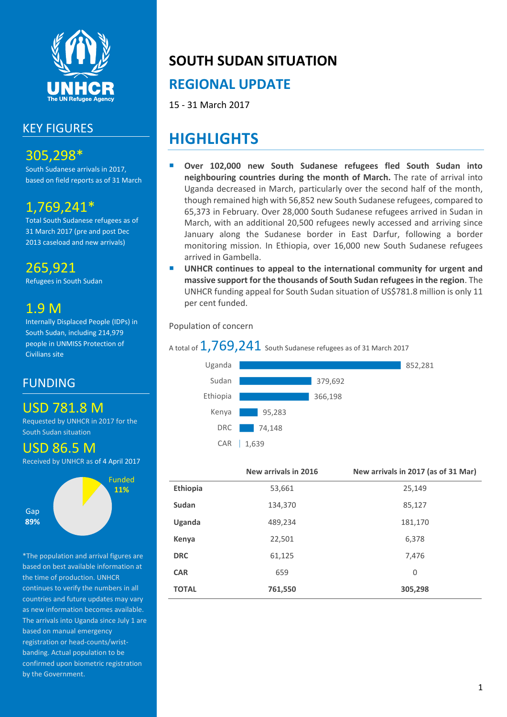

# KEY FIGURES

# 305,298\*

South Sudanese arrivals in 2017, based on field reports as of 31 March

# 1,769,241\*

Total South Sudanese refugees as of 31 March 2017 (pre and post Dec 2013 caseload and new arrivals)

265,921

Refugees in South Sudan

# 1.9 M

Internally Displaced People (IDPs) in South Sudan, including 214,979 people in UNMISS Protection of Civilians site

## FUNDING

# USD 781.8 M

Requested by UNHCR in 2017 for the South Sudan situation

## USD 86.5 M

Received by UNHCR as of 4 April 2017



\*The population and arrival figures are based on best available information at the time of production. UNHCR continues to verify the numbers in all countries and future updates may vary as new information becomes available. The arrivals into Uganda since July 1 are based on manual emergency registration or head-counts/wristbanding. Actual population to be confirmed upon biometric registration by the Government.

# **SOUTH SUDAN SITUATION**

# **REGIONAL UPDATE**

15 - 31 March 2017

# **HIGHLIGHTS**

- **Over 102,000 new South Sudanese refugees fled South Sudan into neighbouring countries during the month of March.** The rate of arrival into Uganda decreased in March, particularly over the second half of the month, though remained high with 56,852 new South Sudanese refugees, compared to 65,373 in February. Over 28,000 South Sudanese refugees arrived in Sudan in March, with an additional 20,500 refugees newly accessed and arriving since January along the Sudanese border in East Darfur, following a border monitoring mission. In Ethiopia, over 16,000 new South Sudanese refugees arrived in Gambella.
- **UNHCR continues to appeal to the international community for urgent and massive support for the thousands of South Sudan refugees in the region**. The UNHCR funding appeal for South Sudan situation of US\$781.8 million is only 11 per cent funded.

Population of concern

## A total of  $1,769,241$  South Sudanese refugees as of 31 March 2017



|                 | New arrivals in 2016 | New arrivals in 2017 (as of 31 Mar) |
|-----------------|----------------------|-------------------------------------|
| <b>Ethiopia</b> | 53,661               | 25,149                              |
| Sudan           | 134,370              | 85,127                              |
| Uganda          | 489,234              | 181,170                             |
| Kenya           | 22,501               | 6,378                               |
| <b>DRC</b>      | 61,125               | 7,476                               |
| <b>CAR</b>      | 659                  | 0                                   |
| <b>TOTAL</b>    | 761,550              | 305,298                             |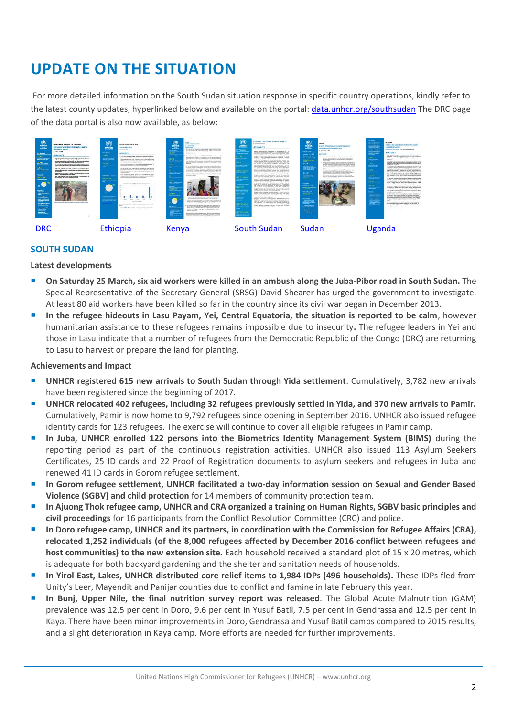# **UPDATE ON THE SITUATION**

For more detailed information on the South Sudan situation response in specific country operations, kindly refer to the latest county updates, hyperlinked below and available on the portal: [data.unhcr.org/southsudan](http://data.unhcr.org/SouthSudan/regional.php) The DRC page of the data portal is also now available, as below:

| $\frac{1}{2}$<br>DEMOCRATIC REDUBLIC OF THE CONSOL<br>IMERGENCY UPDATE ON THE SOUTH SOUDAN<br><b>REFUGEE SITUATION</b><br>Maritimed Mill<br><b>RETIREMENT</b><br><b>RIGHLIGHTS</b><br>72.832<br><b>NAMES OF GROOM</b><br>including to position parties, (iii) because the collect and content of blue play<br><b><i>AMERICAN ME</i></b><br>in funds Series, Augusta explor, country to programming of the<br>below farmings by bilance state for use bond a company<br>17,656<br>deltary and assigned with hor result and with instruments blanchy.<br>201003-002<br>the African A. (400 mode or Malaysian State Antique Audiotechnology)<br>until Point Amend underst LAAR Catalina from air survey to publica-<br>bear.<br><b>LTM</b><br>A Net in 1990S same still can the infancial Graduated<br><b>WELLNAMIAN.COM</b><br>Make 1200 by California and a series from the first of the color of the case.<br><u> Hermann</u><br>$m_{\rm H}$ and $m_{\rm H}$<br>WT declarated menuity of a Millerie in later expense.<br>in Marine Labi Insurabably of LEAST month.<br><b>PUNCESS</b><br>basic in his continued funds choices are marked by price the words of<br>U\$2.11 min.<br>science of Net also entered a relative circles.<br><b><i><u>INCONFERENCE</u></i></b><br><b>Ramorhoo</b><br><b><i><u><b>The Associated</b></u></i></b><br><b>SHOW:</b><br>· beautiques<br>Theme plates are<br><b>Concert Substances</b><br><b><i><u>About Williams</u></i></b><br><b>EDITOR AREA EDITOR SUBSIDIARE DE SON LOS BORDOS E CONTINUES EN COM</b><br>1 Bright de die humanist<br><b>CONTRACTOR</b><br><b>COMPANY</b><br><b><i>Constitution</i></b><br>stanleyers.<br><b>Christmas for</b><br><b><i>INTERNATION</i></b> | $\omega$<br>UNHCR<br><b>CERKLINES</b><br>Hota re<br>فلنقرض والمستنقذ<br>---<br>$\frac{1}{2} \left( \frac{1}{2} \right) \left( \frac{1}{2} \right) \left( \frac{1}{2} \right) \left( \frac{1}{2} \right) \left( \frac{1}{2} \right) \left( \frac{1}{2} \right) \left( \frac{1}{2} \right) \left( \frac{1}{2} \right) \left( \frac{1}{2} \right) \left( \frac{1}{2} \right) \left( \frac{1}{2} \right) \left( \frac{1}{2} \right) \left( \frac{1}{2} \right) \left( \frac{1}{2} \right) \left( \frac{1}{2} \right) \left( \frac{1}{2} \right) \left( \frac$<br>20210457-1<br><b>Notice Services</b><br><b>UNION GALLERY</b><br><b><i>FID STEEM</i></b><br><b>Contract Services</b><br>------<br>,,,,,,,,<br>يستبينون<br>-- | SOUTH SHINA STUATION<br><b>PTHICIPUL LIPTATE</b><br><b>In Section Road</b><br><b>Hallows</b> Inc. Le TV<br>11-50 look belower whares last a look in Derisch, Ohioan awa 3<br>Automobile 24th, Of Ark emaileder, 109 refuses have from Automobiled<br>wincome or manushapes some my additioned futbolizer baser supposed using<br>FIELD have received accidents and explicac manuscript for accounts the<br>the strival unal articles the old supporter.<br>As a first high publications which diffusions remained dilition. He<br>a barrent from their builder and 30 what a domain children.<br>The last series mainly startating ham the maje title high, restrike to<br>best first from inspective and fixed abstract to constituting locals balan-<br>have relatively about the context print is small, and all by charge to<br>schemed outside<br>At all to business though below a high or fitted to be below.<br>share, inheles 31:400 sta for's things the bowder \$53. Tex<br>singless rooms from stress from hide, and hinges state."<br>Elected's private 18 instrume - 12 Statement<br><b>STATE</b><br>Pres alley the Con-<br>Witnessman Alberta<br>The product state of the country of the country of the country of the country of<br>$\cdots$<br>traced \$35 of the star create construction and construction and the co- | <b>INDIANCE</b><br><b>COMPANY</b><br><b>CONTRACTOR</b><br>an ago-<br>tant interest than the<br><b>STATISTICS</b><br>SOUTH<br>No analise ne ne o<br>1.825<br><b>Service</b><br>--------<br>3,335<br><b>With A class on a</b><br><b><i><u>ELENGTHERE</u></i></b><br><b>IND 224 TM</b><br><b>USD 6BM</b><br><b><i><u>POSTETVA</u></i></b><br><b>Service Control</b> | 12.513<br>and class interestings serious<br><b>ALA IS, BUY 2016</b><br><b>UNGINEERS</b><br>to at its ans of the Autumn had meeted \$4,000" origins from fault build.<br>also the converted education dealerships after the dealer restorate assumption<br>THE AT REASON COLUMN CONSTRUCTION OF THE COLUMN CONSTRUCT.<br>and author definition<br>New Network and African come I links (404), alterals full defensives incoment<br>and managered falls whereas and fit rate, however development maker of experiment<br>productions and engineering to receip and to be analyzed<br>146 per posta calculat du le pi delicit antico alco analiza<br>the number of the fire book behind on the annual for the fact<br>home he do much includes but managed and constituted by 1,000<br><b>SECOND</b><br># to lute, 200437 eigential bes follows department product artists flights of<br>an boost veying to becoming to be the or the first right wid on this as-<br>who halls and the cause of \$2 million as to hearders, and he monetary<br>as 11 to with 10 to bring of series in Artist. They're 17 adults have<br>creatives in foundal by an incount the striffed disposition hims balloting. To:<br>Also, sales Michael Arthurs expressed plusing to resulting this year. Reclaims<br>Edition company than the photograph of the distribution between the control of the company and<br>an deterministicate.<br>in the company of the first three details in the company day and company of the total plates<br>had breezes in Antonionesse and to call of the<br>The minds the field of the party of detail blanks and considered by<br>General Asia on the business chiefs designs. We summarize our setti-<br>Senatorium hadro automotivacinis Senatorium Albert<br>The American Indianal Association Company Publication Industrial Association<br>the 17" will be the bridge of our finite of he shares matter to<br>Welcherhouse, "Which is subductive and class permissional and<br>power line 80 Digitation for the compiler that whipping and status and and<br>State 10 Williams State 1<br>If you determine replace entrep will have a better that sees a grand that<br>the control of the control of the control of the control of the control of the control of the control of<br>www.file.com contributions shows design development in the book of the<br>Christmas controls space of more exhibited and edges. | UNHCR<br><b>CY ENGLISHER</b><br><b>AND REAL PROPERTY</b><br>a sun<br><b>Carl Ford State</b><br><b>ALM N</b><br>----<br><b>AT LONG &amp; STAR</b><br><b><i><u>Alexander</u></i></b><br><b>LEZZANGER</b><br>SS131 million<br>a rambula<br>--<br><b>CONTRACTOR</b><br><b>TELEVIA</b><br><b><i><u>American proper</u></i></b><br>___<br>------<br><b>CONTRACTOR</b><br>--<br><b>CONTRACTOR</b><br>$-1$<br><b>CARL AND COMPANY</b><br><b>Charlonation</b><br><b><i><u>Property Links Commission</u></i></b><br><b>And Schman or an</b><br>S127A reits<br><b>CONTRACTOR</b><br><b>The Contract of Section</b> | UNNICE OPERATIONAL UPDATE 18/2014<br>Ed-30 Scattermer 2014<br>HIGHLIGHTS<br>140420 month warrings true simplies in limits finitely for 1 for<br>simular totaled process are majority that then, at well-line appropriate<br>shi professor in durchooding price. Leaking contrasts for adultery college<br>Most than 20000 points were student with fluid magnesiums.<br>officers. Allowing clearly others and cubility of private<br>prizedly on 17 and 12 businesses should be been to love. Add a high-term<br>some lot to UNICE on 27 Insteador. Two of thousand of load<br>realism, are you manned and to not have the return to thank. Head-<br>interests displayed assum are clasheday to allunated furnate with<br>smaller contains in about compounds and any being a varieties shortige of<br>kind modules and beneficial datas Found minor and obstandants with<br>but pushe until despects her by note). Mor intends<br>Autoral posts received but they loud state how been below free<br>but beatin as furthers it related useds, the is join 19925.<br>and other boosestantes experienties and on 10 businesses to decision<br>defines of the subside antifaces, kicketing band was fixed datas and<br>dence (investigate 1 dealers) decorate (CA) data of look by the cost-investigat-<br>in him the book-of contented cars, and the most college personal<br>provided. The Admitter she link with the constructions of the<br>More contaction from Low settlement. They had the minutes than<br>should either force channighe schools. For collections and direct short-<br>passful edges, bolet out dedroed horsefully with and and<br>search if your Prophet which you life! began her children<br>parlament from 6,000 railways struckings the collegeard and discovered<br>in Alberta sharings, Sandy 1985 weeks have beenliefs future whose<br>as bested at foliot were a Monetan with of cars, and show the<br>butter will be Octoberg Woods of furniture (OBC) A few business<br>has shouldn't fill out which pay be looked at the insertion<br>adh Seatter of Fe Box Sub. Class tokens More 19403 shall<br>The government as protect the face of Solders copiedalistic anticiting<br>affirms and call says at some carter to mine ? the chillie and<br>boundaries cannot of author cost of age additionals.<br>Advance insider a histories for tracket advantage in the ATA associate the<br>refuges to be available ratios adultable scholarships costs effect<br>Statute German Academi, Policies belieften Fund, also known as 2007.<br>programma. The painfidular will longly, Bost colorestic sources at the U.<br>Marchinson and Alason Children<br>President of textbot to child banachaker of 1000 BDs. bowden in<br>Both Sales telegra coop - UNACR and patient bages provides of<br>books you receive he financing of Motion to Child Technology of<br>LEIGHT PAPY'S to Statuty flats came building councilia and<br>builty of entered today and enable of entrepolist forces (200)<br>firms in variously to manual the vehicles to other carrier and builds<br>be little includes. Business twelve business | <b>UNHCR</b><br><b>CY INSURES</b><br>America 244,798<br>كالمستنبذ<br><b>SOUTHERN</b><br>an me<br>e vijes<br><b>NAMES</b><br><b>Contractor</b><br>__<br><b>Shows</b><br>1004451418<br>----<br><b>JULIE 125, 250</b><br><b>Automobility</b><br><b>PECKINE</b><br><b>The Second Card</b><br><b>BAR</b><br><b>Allen</b><br><b><i><u>Profession</u></i></b><br><b>ANTIBERY</b> | SLIDAN<br>UNKCR OPERATIONAL UPDATE RDR SOUTH<br><b>SUDGAFO BIFUOFF RESPONSE</b><br><b>L - Vi hailrongs 19 to</b><br><b>HERE SOFTS</b><br>To case the number of funds fusionnal of approximate feature book basic or<br>painted a tradition for exact for 1 office and 15 of 10 Minutes.<br>And a Auto show location (60) gets and Bullit may a multi-day for<br>bearing of the<br>A structure to be completed to deal when several for the statement of<br>advance in American Education companies assurance like and<br>White the country with the conduction of the context of<br>this set of Amery The colonials of three Numeration for the colonials.<br>Equitarian at the Jacksons is unances with the lodgings but concen-<br><b>Service</b><br>The state of at a party of other from first and the state of the month of<br>stored thru scientificate and project art Controller 2,501.<br>Informati vincing a strict planned at the company's business.<br>actualize the stage pain fact to provide the to do publish to credit<br>then you contact a distinguished with a life from the com-<br>single and had assessing status. Apprinted the determine hardward me-<br>stagement of actuals community to the Taylor<br>Anderes e butterned in compared to a degree on a part from the | Alter Spracher<br>$\begin{array}{c}\n\hline\n\text{Tr}(\mathbf{r},\mathbf{r})\n\\ \hline\n\text{Tr}(\mathbf{r},\mathbf{r})\n\\ \hline\n\text{Tr}(\mathbf{r},\mathbf{r})\n\\ \hline\n\end{array}$<br>-------<br><b>ELECTRIC</b><br><b>Contractor</b><br><b>SAME:</b><br>-----<br>___<br><b>START ST</b><br><b>Selection and A</b><br><b>Brown Of Armythy</b><br><b>STORY I</b><br>------<br>___<br>125,778<br><b>Ballion Brown</b><br>21016311<br><b><i><u>between the collection</u></i></b><br><b>ASK DOES</b><br><b>Photography</b><br><b>Property</b> Selection | <b>LIGANDA</b><br>EMERGENCY UPDATE ON THE SOUTH SUDAN<br><b>REFUGEE SITUATION</b><br>ATTA ATTACT COLLEGES AND THE LAST CONTINUES AND<br><b>HIGHLIGHTS</b><br>Additional Act account that both belong the U.S. of London<br>beginning. The starbed concertainty whitesty from the fit backet for manufacture<br>a follow day assessed a 1994 and 1,000 per local part and the<br>acceptable.<br>The confidence area has been particle Municipalities to a promotion<br>any actuals. Again antiquent is copyright to have years to have at to LASC.<br>share for really afforming any an extra adjustment of<br>With Texture controlers<br>The new market of refugees in behind the spectrum of the character.<br>advance your referable to the work sweeted actitudes have been transport<br>and the class and could the forecastery deal of the the conductor in a presentation<br>structure the tellulation of investors have to success achievement areas for<br>batter plans. A net attitude was worst batter telegra subscribe<br>and will an expected county of up to \$5,000 reluping. Integra the lotal<br>parameter of the first and income of the state charge and a process of the company<br>because of a close to provide a state of the control and control and control and<br>store."<br>The special continues on hours or showing permissed subjection religions<br>system the system and publicate that simply in their in Annalse and<br>calveste indebtal, sent decided. On majoria of when are interest<br>printed in Capitals wither policy relations arises must done agreered, or with rac-<br>mistive at all, fame riders are setted to science complete to anyway.<br>strings, two release Assessment, and American producted and all subscribes.<br>milkanisch am Mara amundulunt amunder von in onle auffag sonntereifung<br>his countable. I'd disabilitation and which are arranged with school chairs.<br>electronicity, penets, amount often, by pain soft that making<br>1. The actual was a characterized from the present fields. A file a street<br>which discuss a service have discuss<br>handles article in accelerate between an in factor Administration<br>the influenced parks constructionizes for the relax parents field business.<br>between being between speeds befor and durant controllers. The exhibitional<br>bets will take to attemption personly within the anticopany. Great appropria-<br>exceptions at the photographical by point over in the foregon website<br><b>Taylor</b><br>No max room of Article were recorded attachment defects. A desired by<br>this fighted and furnituring the Alberta fiscular backed are<br>any case for 15 per 40 has reasonably 100 uses how best-resolved<br>entity of additioning store that high authors of all absorptions show been<br>because in a control and placed |
|-------------------------------------------------------------------------------------------------------------------------------------------------------------------------------------------------------------------------------------------------------------------------------------------------------------------------------------------------------------------------------------------------------------------------------------------------------------------------------------------------------------------------------------------------------------------------------------------------------------------------------------------------------------------------------------------------------------------------------------------------------------------------------------------------------------------------------------------------------------------------------------------------------------------------------------------------------------------------------------------------------------------------------------------------------------------------------------------------------------------------------------------------------------------------------------------------------------------------------------------------------------------------------------------------------------------------------------------------------------------------------------------------------------------------------------------------------------------------------------------------------------------------------------------------------------------------------------------------------------------------------------------------------------------------------------------------------------------|--------------------------------------------------------------------------------------------------------------------------------------------------------------------------------------------------------------------------------------------------------------------------------------------------------------------------------------------------------------------------------------------------------------------------------------------------------------------------------------------------------------------------------------------------------------------------------------------------------------------------------------------------------------------------------------------------------------------------|------------------------------------------------------------------------------------------------------------------------------------------------------------------------------------------------------------------------------------------------------------------------------------------------------------------------------------------------------------------------------------------------------------------------------------------------------------------------------------------------------------------------------------------------------------------------------------------------------------------------------------------------------------------------------------------------------------------------------------------------------------------------------------------------------------------------------------------------------------------------------------------------------------------------------------------------------------------------------------------------------------------------------------------------------------------------------------------------------------------------------------------------------------------------------------------------------------------------------------------------------------------------------------------------------------------------------------------|------------------------------------------------------------------------------------------------------------------------------------------------------------------------------------------------------------------------------------------------------------------------------------------------------------------------------------------------------------------|------------------------------------------------------------------------------------------------------------------------------------------------------------------------------------------------------------------------------------------------------------------------------------------------------------------------------------------------------------------------------------------------------------------------------------------------------------------------------------------------------------------------------------------------------------------------------------------------------------------------------------------------------------------------------------------------------------------------------------------------------------------------------------------------------------------------------------------------------------------------------------------------------------------------------------------------------------------------------------------------------------------------------------------------------------------------------------------------------------------------------------------------------------------------------------------------------------------------------------------------------------------------------------------------------------------------------------------------------------------------------------------------------------------------------------------------------------------------------------------------------------------------------------------------------------------------------------------------------------------------------------------------------------------------------------------------------------------------------------------------------------------------------------------------------------------------------------------------------------------------------------------------------------------------------------------------------------------------------------------------------------------------------------------------------------------------------------------------------------------------------------------------------------------------------------------------------------------------------------------------------------------------------------------------------------------------------------------------------------------------------------------------------------------------------------|---------------------------------------------------------------------------------------------------------------------------------------------------------------------------------------------------------------------------------------------------------------------------------------------------------------------------------------------------------------------------------------------------------------------------------------------------------------------------------------------------------------------------------------------------------------------------------------------------------|-----------------------------------------------------------------------------------------------------------------------------------------------------------------------------------------------------------------------------------------------------------------------------------------------------------------------------------------------------------------------------------------------------------------------------------------------------------------------------------------------------------------------------------------------------------------------------------------------------------------------------------------------------------------------------------------------------------------------------------------------------------------------------------------------------------------------------------------------------------------------------------------------------------------------------------------------------------------------------------------------------------------------------------------------------------------------------------------------------------------------------------------------------------------------------------------------------------------------------------------------------------------------------------------------------------------------------------------------------------------------------------------------------------------------------------------------------------------------------------------------------------------------------------------------------------------------------------------------------------------------------------------------------------------------------------------------------------------------------------------------------------------------------------------------------------------------------------------------------------------------------------------------------------------------------------------------------------------------------------------------------------------------------------------------------------------------------------------------------------------------------------------------------------------------------------------------------------------------------------------------------------------------------------------------------------------------------------------------------------------------------------------------------------------------------------------------------------------------------------------------------------------------------------------------------------------------------------------------------------------------------------------------------------------------------------------------------------------------------------------------------------------------------------------------------------------------------------------------------------------------------------------------------------------------------------------------------------------------------------------------------------------------------------------------------------------------------------------------------------------------------------------------|---------------------------------------------------------------------------------------------------------------------------------------------------------------------------------------------------------------------------------------------------------------------------------------------------------------------------------------------------------------------------|---------------------------------------------------------------------------------------------------------------------------------------------------------------------------------------------------------------------------------------------------------------------------------------------------------------------------------------------------------------------------------------------------------------------------------------------------------------------------------------------------------------------------------------------------------------------------------------------------------------------------------------------------------------------------------------------------------------------------------------------------------------------------------------------------------------------------------------------------------------------------------------------------------------------------------------------------------------------------------------------------------------------------------------------------------------------------------------------------------------------------------------------------------------------------------------------------------------------------------------------------------------------------------------------------|--------------------------------------------------------------------------------------------------------------------------------------------------------------------------------------------------------------------------------------------------------------------------------------------------------------------------------------------------------------------------------------------------------------------------------------------------------------------------------------------------------------------------------------------------------------------|------------------------------------------------------------------------------------------------------------------------------------------------------------------------------------------------------------------------------------------------------------------------------------------------------------------------------------------------------------------------------------------------------------------------------------------------------------------------------------------------------------------------------------------------------------------------------------------------------------------------------------------------------------------------------------------------------------------------------------------------------------------------------------------------------------------------------------------------------------------------------------------------------------------------------------------------------------------------------------------------------------------------------------------------------------------------------------------------------------------------------------------------------------------------------------------------------------------------------------------------------------------------------------------------------------------------------------------------------------------------------------------------------------------------------------------------------------------------------------------------------------------------------------------------------------------------------------------------------------------------------------------------------------------------------------------------------------------------------------------------------------------------------------------------------------------------------------------------------------------------------------------------------------------------------------------------------------------------------------------------------------------------------------------------------------------------------------------------------------------------------------------------------------------------------------------------------------------------------------------------------------------------------------------------------------------------------------------------------------------------------------------------------------------------------------------------------------------------------------------------------------------------------------------------------------------------------------------------------------------------------------------------------------------------------------------------------------------------------------------------------------------------------------------------------------------------------------------------------------------------|
|                                                                                                                                                                                                                                                                                                                                                                                                                                                                                                                                                                                                                                                                                                                                                                                                                                                                                                                                                                                                                                                                                                                                                                                                                                                                                                                                                                                                                                                                                                                                                                                                                                                                                                                   | Ethiopia                                                                                                                                                                                                                                                                                                                                                                                                                                                                                                                                                                                                                                                                                                                 |                                                                                                                                                                                                                                                                                                                                                                                                                                                                                                                                                                                                                                                                                                                                                                                                                                                                                                                                                                                                                                                                                                                                                                                                                                                                                                                                          | Kenya                                                                                                                                                                                                                                                                                                                                                            |                                                                                                                                                                                                                                                                                                                                                                                                                                                                                                                                                                                                                                                                                                                                                                                                                                                                                                                                                                                                                                                                                                                                                                                                                                                                                                                                                                                                                                                                                                                                                                                                                                                                                                                                                                                                                                                                                                                                                                                                                                                                                                                                                                                                                                                                                                                                                                                                                                    |                                                                                                                                                                                                                                                                                                                                                                                                                                                                                                                                                                                                         | <b>South Sudan</b>                                                                                                                                                                                                                                                                                                                                                                                                                                                                                                                                                                                                                                                                                                                                                                                                                                                                                                                                                                                                                                                                                                                                                                                                                                                                                                                                                                                                                                                                                                                                                                                                                                                                                                                                                                                                                                                                                                                                                                                                                                                                                                                                                                                                                                                                                                                                                                                                                                                                                                                                                                                                                                                                                                                                                                                                                                                                                                                                                                                                                                                                                                                            |                                                                                                                                                                                                                                                                                                                                                                           |                                                                                                                                                                                                                                                                                                                                                                                                                                                                                                                                                                                                                                                                                                                                                                                                                                                                                                                                                                                                                                                                                                                                                                                                                                                                                                   |                                                                                                                                                                                                                                                                                                                                                                                                                                                                                                                                                                    | ganda                                                                                                                                                                                                                                                                                                                                                                                                                                                                                                                                                                                                                                                                                                                                                                                                                                                                                                                                                                                                                                                                                                                                                                                                                                                                                                                                                                                                                                                                                                                                                                                                                                                                                                                                                                                                                                                                                                                                                                                                                                                                                                                                                                                                                                                                                                                                                                                                                                                                                                                                                                                                                                                                                                                                                                                                                                                                  |

#### **SOUTH SUDAN**

#### **Latest developments**

- **On Saturday 25 March, six aid workers were killed in an ambush along the Juba-Pibor road in South Sudan.** The Special Representative of the Secretary General (SRSG) David Shearer has urged the government to investigate. At least 80 aid workers have been killed so far in the country since its civil war began in December 2013.
- **In the refugee hideouts in Lasu Payam, Yei, Central Equatoria, the situation is reported to be calm**, however humanitarian assistance to these refugees remains impossible due to insecurity**.** The refugee leaders in Yei and those in Lasu indicate that a number of refugees from the Democratic Republic of the Congo (DRC) are returning to Lasu to harvest or prepare the land for planting.

#### **Achievements and Impact**

- **UNHCR registered 615 new arrivals to South Sudan through Yida settlement**. Cumulatively, 3,782 new arrivals have been registered since the beginning of 2017.
- **UNHCR relocated 402 refugees, including 32 refugees previously settled in Yida, and 370 new arrivals to Pamir.** Cumulatively, Pamir is now home to 9,792 refugees since opening in September 2016. UNHCR also issued refugee identity cards for 123 refugees. The exercise will continue to cover all eligible refugees in Pamir camp.
- **In Juba, UNHCR enrolled 122 persons into the Biometrics Identity Management System (BIMS)** during the reporting period as part of the continuous registration activities. UNHCR also issued 113 Asylum Seekers Certificates, 25 ID cards and 22 Proof of Registration documents to asylum seekers and refugees in Juba and renewed 41 ID cards in Gorom refugee settlement.
- **In Gorom refugee settlement, UNHCR facilitated a two-day information session on Sexual and Gender Based Violence (SGBV) and child protection** for 14 members of community protection team.
- **In Ajuong Thok refugee camp, UNHCR and CRA organized a training on Human Rights, SGBV basic principles and civil proceedings** for 16 participants from the Conflict Resolution Committee (CRC) and police.
- **In Doro refugee camp, UNHCR and its partners, in coordination with the Commission for Refugee Affairs (CRA), relocated 1,252 individuals (of the 8,000 refugees affected by December 2016 conflict between refugees and host communities) to the new extension site.** Each household received a standard plot of 15 x 20 metres, which is adequate for both backyard gardening and the shelter and sanitation needs of households.
- **In Yirol East, Lakes, UNHCR distributed core relief items to 1,984 IDPs (496 households).** These IDPs fled from Unity's Leer, Mayendit and Panijar counties due to conflict and famine in late February this year.
- **In Bunj, Upper Nile, the final nutrition survey report was released**. The Global Acute Malnutrition (GAM) prevalence was 12.5 per cent in Doro, 9.6 per cent in Yusuf Batil, 7.5 per cent in Gendrassa and 12.5 per cent in Kaya. There have been minor improvements in Doro, Gendrassa and Yusuf Batil camps compared to 2015 results, and a slight deterioration in Kaya camp. More efforts are needed for further improvements.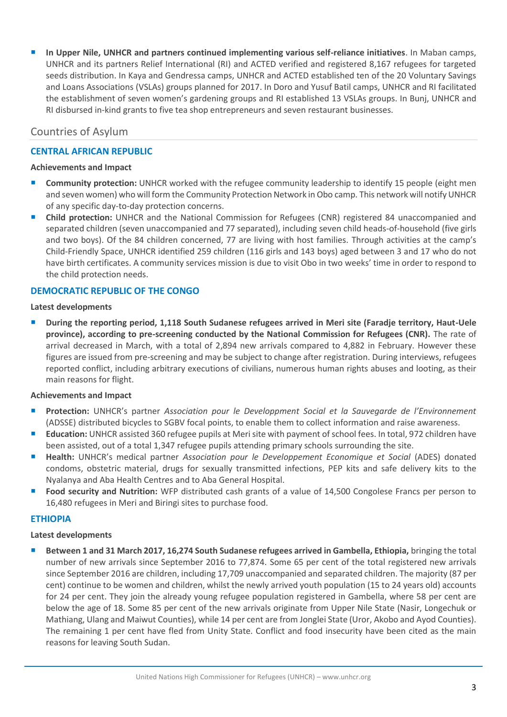**In Upper Nile, UNHCR and partners continued implementing various self-reliance initiatives**. In Maban camps, UNHCR and its partners Relief International (RI) and ACTED verified and registered 8,167 refugees for targeted seeds distribution. In Kaya and Gendressa camps, UNHCR and ACTED established ten of the 20 Voluntary Savings and Loans Associations (VSLAs) groups planned for 2017. In Doro and Yusuf Batil camps, UNHCR and RI facilitated the establishment of seven women's gardening groups and RI established 13 VSLAs groups. In Bunj, UNHCR and RI disbursed in-kind grants to five tea shop entrepreneurs and seven restaurant businesses.

## Countries of Asylum

## **CENTRAL AFRICAN REPUBLIC**

#### **Achievements and Impact**

- **Community protection:** UNHCR worked with the refugee community leadership to identify 15 people (eight men and seven women) who will form the Community Protection Network in Obo camp. This network will notify UNHCR of any specific day-to-day protection concerns.
- **Child protection:** UNHCR and the National Commission for Refugees (CNR) registered 84 unaccompanied and separated children (seven unaccompanied and 77 separated), including seven child heads-of-household (five girls and two boys). Of the 84 children concerned, 77 are living with host families. Through activities at the camp's Child-Friendly Space, UNHCR identified 259 children (116 girls and 143 boys) aged between 3 and 17 who do not have birth certificates. A community services mission is due to visit Obo in two weeks' time in order to respond to the child protection needs.

### **DEMOCRATIC REPUBLIC OF THE CONGO**

#### **Latest developments**

 **During the reporting period, 1,118 South Sudanese refugees arrived in Meri site (Faradje territory, Haut-Uele province), according to pre-screening conducted by the National Commission for Refugees (CNR).** The rate of arrival decreased in March, with a total of 2,894 new arrivals compared to 4,882 in February. However these figures are issued from pre-screening and may be subject to change after registration. During interviews, refugees reported conflict, including arbitrary executions of civilians, numerous human rights abuses and looting, as their main reasons for flight.

#### **Achievements and Impact**

- **Protection:** UNHCR's partner *Association pour le Developpment Social et la Sauvegarde de l'Environnement* (ADSSE) distributed bicycles to SGBV focal points, to enable them to collect information and raise awareness.
- **Education:** UNHCR assisted 360 refugee pupils at Meri site with payment of school fees. In total, 972 children have been assisted, out of a total 1,347 refugee pupils attending primary schools surrounding the site.
- **Health:** UNHCR's medical partner *Association pour le Developpement Economique et Social* (ADES) donated condoms, obstetric material, drugs for sexually transmitted infections, PEP kits and safe delivery kits to the Nyalanya and Aba Health Centres and to Aba General Hospital.
- **Food security and Nutrition:** WFP distributed cash grants of a value of 14,500 Congolese Francs per person to 16,480 refugees in Meri and Biringi sites to purchase food.

## **ETHIOPIA**

#### **Latest developments**

 **Between 1 and 31 March 2017, 16,274 South Sudanese refugees arrived in Gambella, Ethiopia,** bringing the total number of new arrivals since September 2016 to 77,874. Some 65 per cent of the total registered new arrivals since September 2016 are children, including 17,709 unaccompanied and separated children. The majority (87 per cent) continue to be women and children, whilst the newly arrived youth population (15 to 24 years old) accounts for 24 per cent. They join the already young refugee population registered in Gambella, where 58 per cent are below the age of 18. Some 85 per cent of the new arrivals originate from Upper Nile State (Nasir, Longechuk or Mathiang, Ulang and Maiwut Counties), while 14 per cent are from Jonglei State (Uror, Akobo and Ayod Counties). The remaining 1 per cent have fled from Unity State. Conflict and food insecurity have been cited as the main reasons for leaving South Sudan.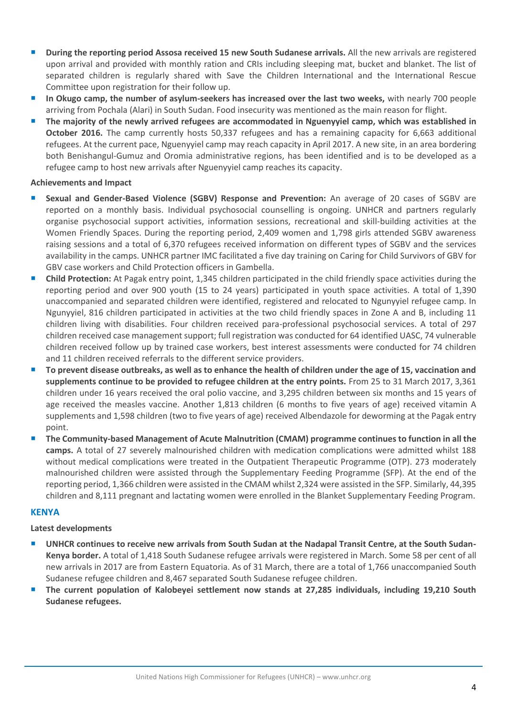- **During the reporting period Assosa received 15 new South Sudanese arrivals.** All the new arrivals are registered upon arrival and provided with monthly ration and CRIs including sleeping mat, bucket and blanket. The list of separated children is regularly shared with Save the Children International and the International Rescue Committee upon registration for their follow up.
- **In Okugo camp, the number of asylum-seekers has increased over the last two weeks,** with nearly 700 people arriving from Pochala (Alari) in South Sudan. Food insecurity was mentioned as the main reason for flight.
- **The majority of the newly arrived refugees are accommodated in Nguenyyiel camp, which was established in October 2016.** The camp currently hosts 50,337 refugees and has a remaining capacity for 6,663 additional refugees. At the current pace, Nguenyyiel camp may reach capacity in April 2017. A new site, in an area bordering both Benishangul-Gumuz and Oromia administrative regions, has been identified and is to be developed as a refugee camp to host new arrivals after Nguenyyiel camp reaches its capacity.

#### **Achievements and Impact**

- **Sexual and Gender-Based Violence (SGBV) Response and Prevention:** An average of 20 cases of SGBV are reported on a monthly basis. Individual psychosocial counselling is ongoing. UNHCR and partners regularly organise psychosocial support activities, information sessions, recreational and skill-building activities at the Women Friendly Spaces. During the reporting period, 2,409 women and 1,798 girls attended SGBV awareness raising sessions and a total of 6,370 refugees received information on different types of SGBV and the services availability in the camps. UNHCR partner IMC facilitated a five day training on Caring for Child Survivors of GBV for GBV case workers and Child Protection officers in Gambella.
- **Child Protection:** At Pagak entry point, 1,345 children participated in the child friendly space activities during the reporting period and over 900 youth (15 to 24 years) participated in youth space activities. A total of 1,390 unaccompanied and separated children were identified, registered and relocated to Ngunyyiel refugee camp. In Ngunyyiel, 816 children participated in activities at the two child friendly spaces in Zone A and B, including 11 children living with disabilities. Four children received para-professional psychosocial services. A total of 297 children received case management support; full registration was conducted for 64 identified UASC, 74 vulnerable children received follow up by trained case workers, best interest assessments were conducted for 74 children and 11 children received referrals to the different service providers.
- **To prevent disease outbreaks, as well as to enhance the health of children under the age of 15, vaccination and supplements continue to be provided to refugee children at the entry points.** From 25 to 31 March 2017, 3,361 children under 16 years received the oral polio vaccine, and 3,295 children between six months and 15 years of age received the measles vaccine. Another 1,813 children (6 months to five years of age) received vitamin A supplements and 1,598 children (two to five years of age) received Albendazole for deworming at the Pagak entry point.
- **The Community-based Management of Acute Malnutrition (CMAM) programme continues to function in all the camps.** A total of 27 severely malnourished children with medication complications were admitted whilst 188 without medical complications were treated in the Outpatient Therapeutic Programme (OTP). 273 moderately malnourished children were assisted through the Supplementary Feeding Programme (SFP). At the end of the reporting period, 1,366 children were assisted in the CMAM whilst 2,324 were assisted in the SFP. Similarly, 44,395 children and 8,111 pregnant and lactating women were enrolled in the Blanket Supplementary Feeding Program.

### **KENYA**

### **Latest developments**

- **UNHCR continues to receive new arrivals from South Sudan at the Nadapal Transit Centre, at the South Sudan-Kenya border.** A total of 1,418 South Sudanese refugee arrivals were registered in March. Some 58 per cent of all new arrivals in 2017 are from Eastern Equatoria. As of 31 March, there are a total of 1,766 unaccompanied South Sudanese refugee children and 8,467 separated South Sudanese refugee children.
- **The current population of Kalobeyei settlement now stands at 27,285 individuals, including 19,210 South Sudanese refugees.**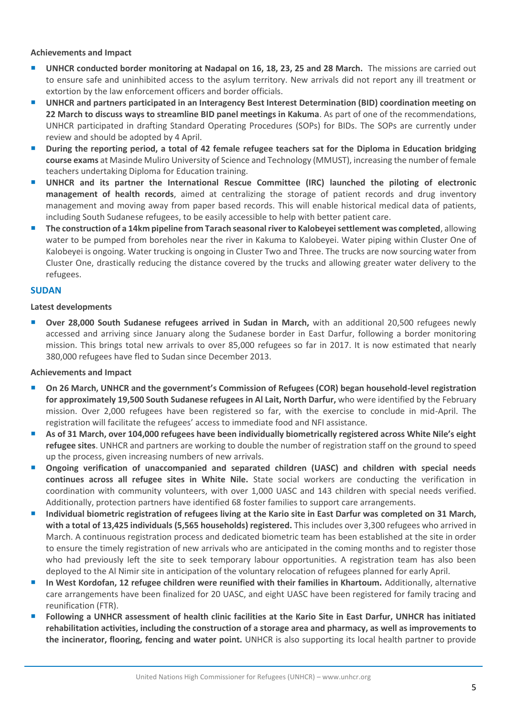#### **Achievements and Impact**

- **UNHCR conducted border monitoring at Nadapal on 16, 18, 23, 25 and 28 March.** The missions are carried out to ensure safe and uninhibited access to the asylum territory. New arrivals did not report any ill treatment or extortion by the law enforcement officers and border officials.
- **UNHCR and partners participated in an Interagency Best Interest Determination (BID) coordination meeting on 22 March to discuss ways to streamline BID panel meetings in Kakuma**. As part of one of the recommendations, UNHCR participated in drafting Standard Operating Procedures (SOPs) for BIDs. The SOPs are currently under review and should be adopted by 4 April.
- **During the reporting period, a total of 42 female refugee teachers sat for the Diploma in Education bridging course exams** at Masinde Muliro University of Science and Technology (MMUST), increasing the number of female teachers undertaking Diploma for Education training.
- **UNHCR and its partner the International Rescue Committee (IRC) launched the piloting of electronic management of health records**, aimed at centralizing the storage of patient records and drug inventory management and moving away from paper based records. This will enable historical medical data of patients, including South Sudanese refugees, to be easily accessible to help with better patient care.
- **The construction of a 14km pipeline from Tarach seasonal river to Kalobeyei settlement was completed**, allowing water to be pumped from boreholes near the river in Kakuma to Kalobeyei. Water piping within Cluster One of Kalobeyei is ongoing. Water trucking is ongoing in Cluster Two and Three. The trucks are now sourcing water from Cluster One, drastically reducing the distance covered by the trucks and allowing greater water delivery to the refugees.

#### **SUDAN**

#### **Latest developments**

 **Over 28,000 South Sudanese refugees arrived in Sudan in March,** with an additional 20,500 refugees newly accessed and arriving since January along the Sudanese border in East Darfur, following a border monitoring mission. This brings total new arrivals to over 85,000 refugees so far in 2017. It is now estimated that nearly 380,000 refugees have fled to Sudan since December 2013.

#### **Achievements and Impact**

- **On 26 March, UNHCR and the government's Commission of Refugees (COR) began household-level registration for approximately 19,500 South Sudanese refugees in Al Lait, North Darfur,** who were identified by the February mission. Over 2,000 refugees have been registered so far, with the exercise to conclude in mid-April. The registration will facilitate the refugees' access to immediate food and NFI assistance.
- **As of 31 March, over 104,000 refugees have been individually biometrically registered across White Nile's eight refugee sites**. UNHCR and partners are working to double the number of registration staff on the ground to speed up the process, given increasing numbers of new arrivals.
- **Ongoing verification of unaccompanied and separated children (UASC) and children with special needs continues across all refugee sites in White Nile.** State social workers are conducting the verification in coordination with community volunteers, with over 1,000 UASC and 143 children with special needs verified. Additionally, protection partners have identified 68 foster families to support care arrangements.
- **Individual biometric registration of refugees living at the Kario site in East Darfur was completed on 31 March, with a total of 13,425 individuals (5,565 households) registered.** This includes over 3,300 refugees who arrived in March. A continuous registration process and dedicated biometric team has been established at the site in order to ensure the timely registration of new arrivals who are anticipated in the coming months and to register those who had previously left the site to seek temporary labour opportunities. A registration team has also been deployed to the Al Nimir site in anticipation of the voluntary relocation of refugees planned for early April.
- **In West Kordofan, 12 refugee children were reunified with their families in Khartoum.** Additionally, alternative care arrangements have been finalized for 20 UASC, and eight UASC have been registered for family tracing and reunification (FTR).
- **Following a UNHCR assessment of health clinic facilities at the Kario Site in East Darfur, UNHCR has initiated rehabilitation activities, including the construction of a storage area and pharmacy, as well as improvements to the incinerator, flooring, fencing and water point.** UNHCR is also supporting its local health partner to provide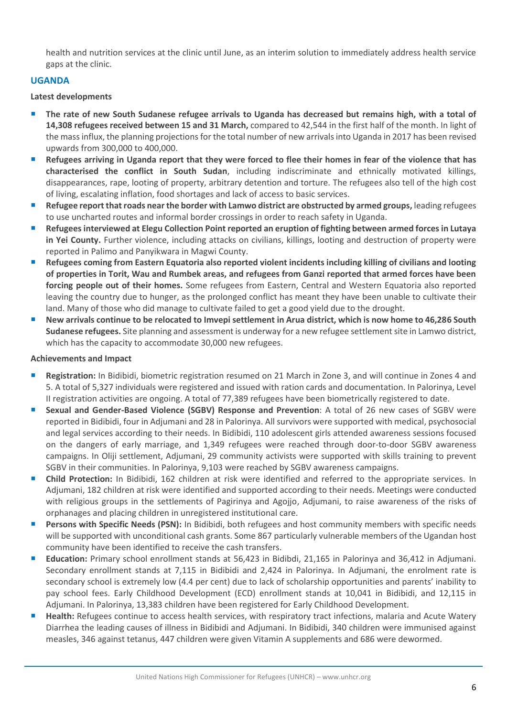health and nutrition services at the clinic until June, as an interim solution to immediately address health service gaps at the clinic.

## **UGANDA**

#### **Latest developments**

- **The rate of new South Sudanese refugee arrivals to Uganda has decreased but remains high, with a total of 14,308 refugees received between 15 and 31 March,** compared to 42,544 in the first half of the month. In light of the mass influx, the planning projections for the total number of new arrivals into Uganda in 2017 has been revised upwards from 300,000 to 400,000.
- **Refugees arriving in Uganda report that they were forced to flee their homes in fear of the violence that has characterised the conflict in South Sudan**, including indiscriminate and ethnically motivated killings, disappearances, rape, looting of property, arbitrary detention and torture. The refugees also tell of the high cost of living, escalating inflation, food shortages and lack of access to basic services.
- **Refugee report that roads near the border with Lamwo district are obstructed by armed groups,** leading refugees to use uncharted routes and informal border crossings in order to reach safety in Uganda.
- **Refugees interviewed at Elegu Collection Point reported an eruption of fighting between armed forces in Lutaya in Yei County.** Further violence, including attacks on civilians, killings, looting and destruction of property were reported in Palimo and Panyikwara in Magwi County.
- **Refugees coming from Eastern Equatoria also reported violent incidents including killing of civilians and looting of properties in Torit, Wau and Rumbek areas, and refugees from Ganzi reported that armed forces have been forcing people out of their homes.** Some refugees from Eastern, Central and Western Equatoria also reported leaving the country due to hunger, as the prolonged conflict has meant they have been unable to cultivate their land. Many of those who did manage to cultivate failed to get a good yield due to the drought.
- **New arrivals continue to be relocated to Imvepi settlement in Arua district, which is now home to 46,286 South Sudanese refugees.** Site planning and assessment is underway for a new refugee settlement site in Lamwo district, which has the capacity to accommodate 30,000 new refugees.

#### **Achievements and Impact**

- **Registration:** In Bidibidi, biometric registration resumed on 21 March in Zone 3, and will continue in Zones 4 and 5. A total of 5,327 individuals were registered and issued with ration cards and documentation. In Palorinya, Level II registration activities are ongoing. A total of 77,389 refugees have been biometrically registered to date.
- **Sexual and Gender-Based Violence (SGBV) Response and Prevention**: A total of 26 new cases of SGBV were reported in Bidibidi, four in Adjumani and 28 in Palorinya. All survivors were supported with medical, psychosocial and legal services according to their needs. In Bidibidi, 110 adolescent girls attended awareness sessions focused on the dangers of early marriage, and 1,349 refugees were reached through door-to-door SGBV awareness campaigns. In Oliji settlement, Adjumani, 29 community activists were supported with skills training to prevent SGBV in their communities. In Palorinya, 9,103 were reached by SGBV awareness campaigns.
- **Child Protection:** In Bidibidi, 162 children at risk were identified and referred to the appropriate services. In Adjumani, 182 children at risk were identified and supported according to their needs. Meetings were conducted with religious groups in the settlements of Pagirinya and Agojjo, Adjumani, to raise awareness of the risks of orphanages and placing children in unregistered institutional care.
- **Persons with Specific Needs (PSN):** In Bidibidi, both refugees and host community members with specific needs will be supported with unconditional cash grants. Some 867 particularly vulnerable members of the Ugandan host community have been identified to receive the cash transfers.
- **Education:** Primary school enrollment stands at 56,423 in Bidibdi, 21,165 in Palorinya and 36,412 in Adjumani. Secondary enrollment stands at 7,115 in Bidibidi and 2,424 in Palorinya. In Adjumani, the enrolment rate is secondary school is extremely low (4.4 per cent) due to lack of scholarship opportunities and parents' inability to pay school fees. Early Childhood Development (ECD) enrollment stands at 10,041 in Bidibidi, and 12,115 in Adjumani. In Palorinya, 13,383 children have been registered for Early Childhood Development.
- **Health:** Refugees continue to access health services, with respiratory tract infections, malaria and Acute Watery Diarrhea the leading causes of illness in Bidibidi and Adjumani. In Bidibidi, 340 children were immunised against measles, 346 against tetanus, 447 children were given Vitamin A supplements and 686 were dewormed.